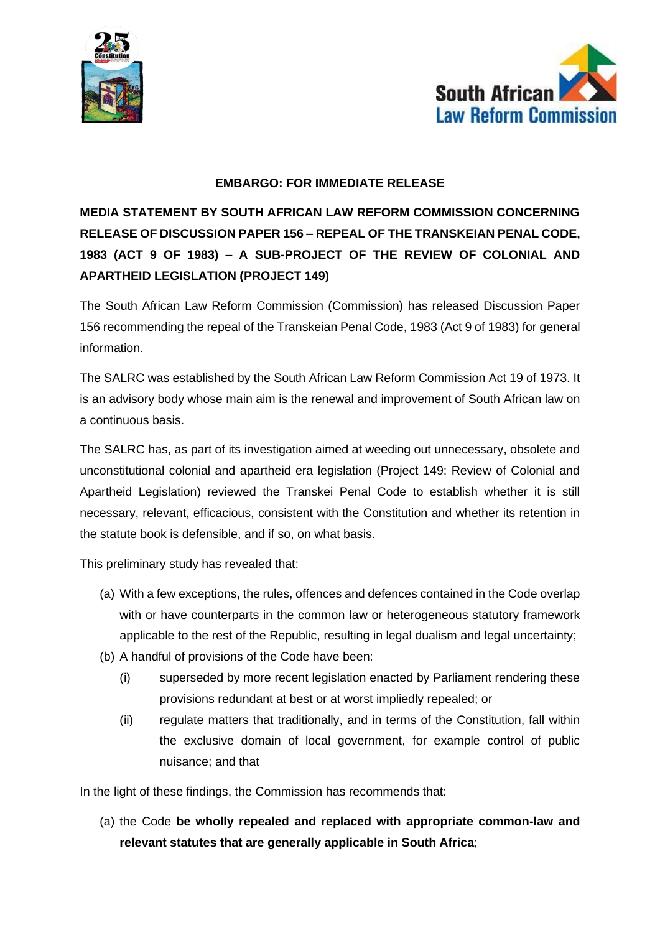



## **EMBARGO: FOR IMMEDIATE RELEASE**

**MEDIA STATEMENT BY SOUTH AFRICAN LAW REFORM COMMISSION CONCERNING RELEASE OF DISCUSSION PAPER 156 – REPEAL OF THE TRANSKEIAN PENAL CODE, 1983 (ACT 9 OF 1983) – A SUB-PROJECT OF THE REVIEW OF COLONIAL AND APARTHEID LEGISLATION (PROJECT 149)**

The South African Law Reform Commission (Commission) has released Discussion Paper 156 recommending the repeal of the Transkeian Penal Code, 1983 (Act 9 of 1983) for general information.

The SALRC was established by the South African Law Reform Commission Act 19 of 1973. It is an advisory body whose main aim is the renewal and improvement of South African law on a continuous basis.

The SALRC has, as part of its investigation aimed at weeding out unnecessary, obsolete and unconstitutional colonial and apartheid era legislation (Project 149: Review of Colonial and Apartheid Legislation) reviewed the Transkei Penal Code to establish whether it is still necessary, relevant, efficacious, consistent with the Constitution and whether its retention in the statute book is defensible, and if so, on what basis.

This preliminary study has revealed that:

- (a) With a few exceptions, the rules, offences and defences contained in the Code overlap with or have counterparts in the common law or heterogeneous statutory framework applicable to the rest of the Republic, resulting in legal dualism and legal uncertainty;
- (b) A handful of provisions of the Code have been:
	- (i) superseded by more recent legislation enacted by Parliament rendering these provisions redundant at best or at worst impliedly repealed; or
	- (ii) regulate matters that traditionally, and in terms of the Constitution, fall within the exclusive domain of local government, for example control of public nuisance; and that

In the light of these findings, the Commission has recommends that:

(a) the Code **be wholly repealed and replaced with appropriate common-law and relevant statutes that are generally applicable in South Africa**;